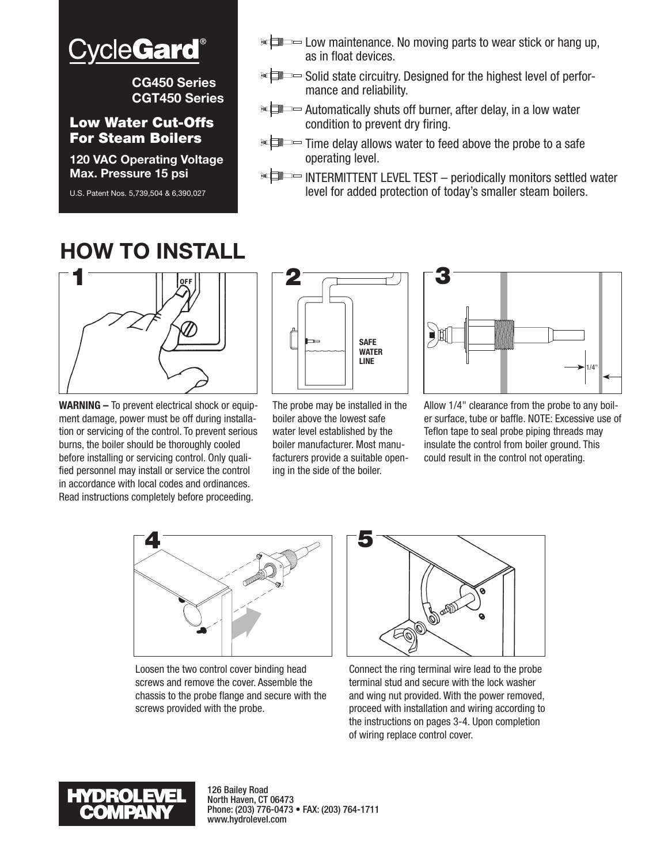

**CG450 Series CGT450 Series**

#### Low Water Cut-Offs For Steam Boilers

**120 VAC Operating Voltage Max. Pressure 15 psi**

U.S. Patent Nos. 5,739,504 & 6,390,027

## **HOW TO INSTALL**



**WARNING –** To prevent electrical shock or equipment damage, power must be off during installation or servicing of the control. To prevent serious burns, the boiler should be thoroughly cooled before installing or servicing control. Only qualified personnel may install or service the control in accordance with local codes and ordinances. Read instructions completely before proceeding.



as in float devices.

operating level.

mance and reliability.

condition to prevent dry firing.

The probe may be installed in the boiler above the lowest safe water level established by the boiler manufacturer. Most manufacturers provide a suitable opening in the side of the boiler.



Allow 1/4" clearance from the probe to any boiler surface, tube or baffle. NOTE: Excessive use of Teflon tape to seal probe piping threads may insulate the control from boiler ground. This could result in the control not operating.



Loosen the two control cover binding head screws and remove the cover. Assemble the chassis to the probe flange and secure with the screws provided with the probe.



**EL** Elow maintenance. No moving parts to wear stick or hang up,

 $\mathbb{R}$  Solid state circuitry. Designed for the highest level of perfor-

**Automatically shuts off burner, after delay, in a low water** 

**ELECT** Time delay allows water to feed above the probe to a safe

**ELECTERMITTENT LEVEL TEST** – periodically monitors settled water level for added protection of today's smaller steam boilers.

Connect the ring terminal wire lead to the probe terminal stud and secure with the lock washer and wing nut provided. With the power removed, proceed with installation and wiring according to the instructions on pages 3-4. Upon completion of wiring replace control cover.



126 Bailey Road North Haven, CT 06473 Phone: (203) 776-0473 • FAX: (203) 764-1711 www.hydrolevel.com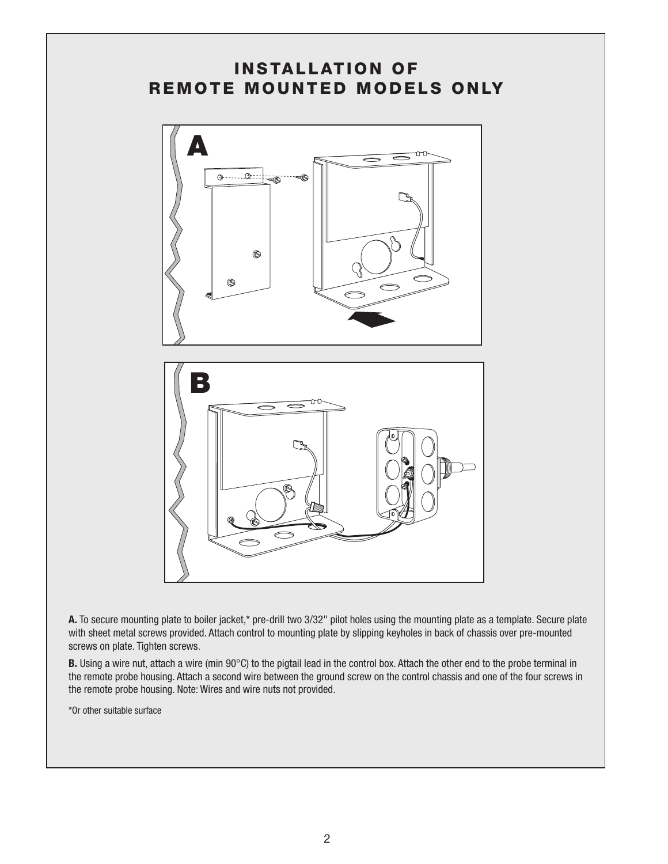### INSTALLATION OF REMOTE MOUNTED MODELS ONLY



**A.** To secure mounting plate to boiler jacket,\* pre-drill two 3/32" pilot holes using the mounting plate as a template. Secure plate with sheet metal screws provided. Attach control to mounting plate by slipping keyholes in back of chassis over pre-mounted screws on plate. Tighten screws.

**B.** Using a wire nut, attach a wire (min 90°C) to the pigtail lead in the control box. Attach the other end to the probe terminal in the remote probe housing. Attach a second wire between the ground screw on the control chassis and one of the four screws in the remote probe housing. Note: Wires and wire nuts not provided.

\*Or other suitable surface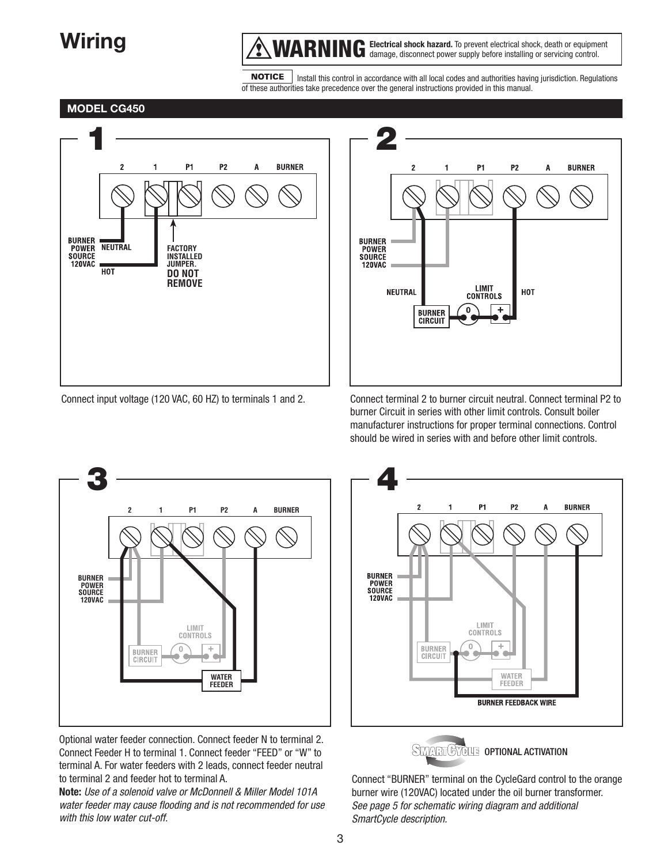### **Wiring**

**MARNING** Electrical shock hazard. To prevent electrical shock, death or equipment damage, disconnect power supply before installing or servicing control.

**NOTICE**  Install this control in accordance with all local codes and authorities having jurisdiction. Regulations of these authorities take precedence over the general instructions provided in this manual.

#### **MODEL CG450**



Connect input voltage (120 VAC, 60 HZ) to terminals 1 and 2.



burner Circuit in series with other limit controls. Consult boiler manufacturer instructions for proper terminal connections. Control should be wired in series with and before other limit controls.



Optional water feeder connection. Connect feeder N to terminal 2. Connect Feeder H to terminal 1. Connect feeder "FEED" or "W" to terminal A. For water feeders with 2 leads, connect feeder neutral to terminal 2 and feeder hot to terminal A.

**Note:** *Use of a solenoid valve or McDonnell & Miller Model 101A water feeder may cause flooding and is not recommended for use with this low water cut-off.*



STITUTIONAL ACTIVATION

Connect "BURNER" terminal on the CycleGard control to the orange burner wire (120VAC) located under the oil burner transformer. *See page 5 for schematic wiring diagram and additional SmartCycle description.*

Connect terminal 2 to burner circuit neutral. Connect terminal P2 to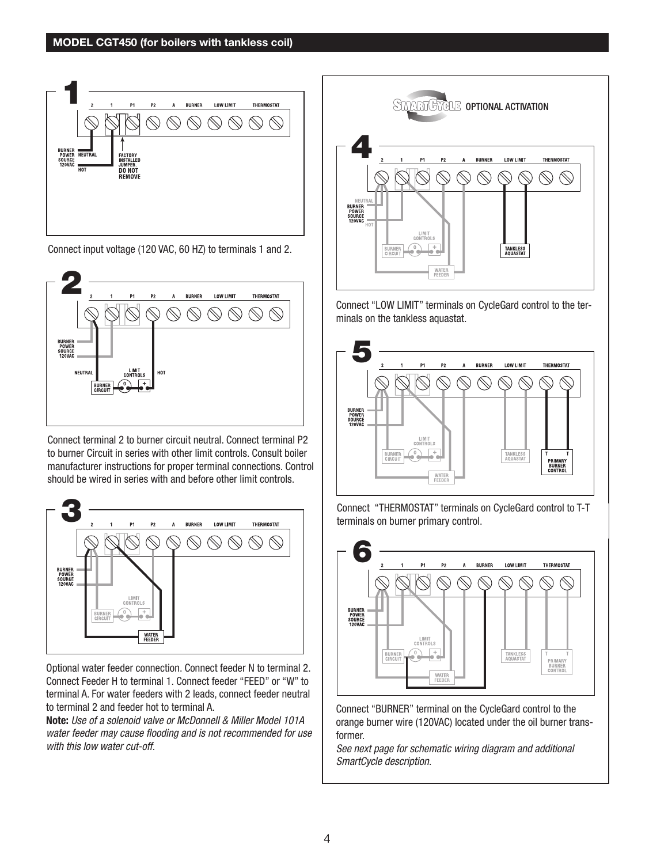

Connect input voltage (120 VAC, 60 HZ) to terminals 1 and 2.



Connect terminal 2 to burner circuit neutral. Connect terminal P2 to burner Circuit in series with other limit controls. Consult boiler manufacturer instructions for proper terminal connections. Control should be wired in series with and before other limit controls.



Optional water feeder connection. Connect feeder N to terminal 2. Connect Feeder H to terminal 1. Connect feeder "FEED" or "W" to terminal A. For water feeders with 2 leads, connect feeder neutral to terminal 2 and feeder hot to terminal A.

**Note:** *Use of a solenoid valve or McDonnell & Miller Model 101A water feeder may cause flooding and is not recommended for use with this low water cut-off.*



Connect "LOW LIMIT" terminals on CycleGard control to the terminals on the tankless aquastat.







Connect "BURNER" terminal on the CycleGard control to the orange burner wire (120VAC) located under the oil burner transformer.

*See next page for schematic wiring diagram and additional SmartCycle description.*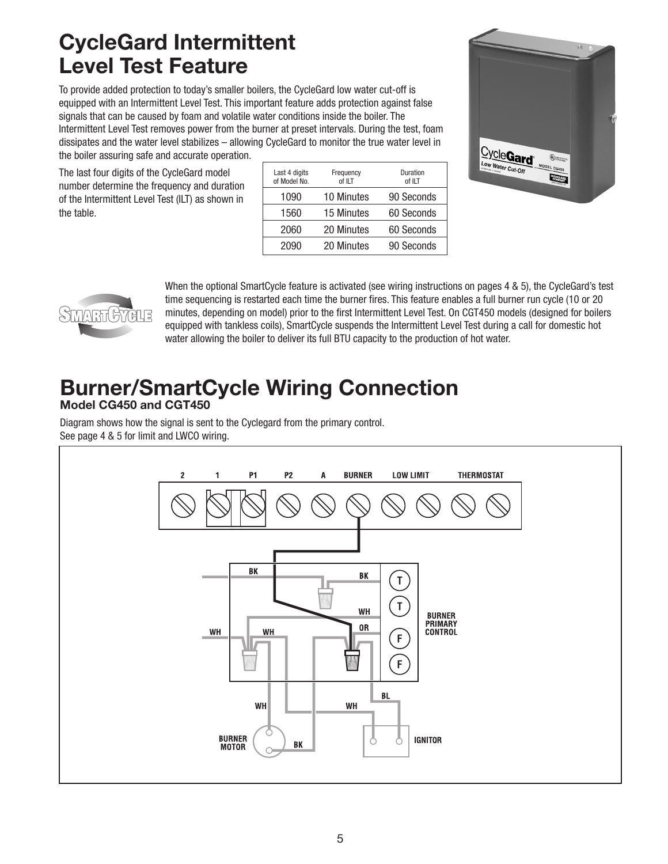### **CycleGard Intermittent Level Test Feature**

To provide added protection to today's smaller boilers, the CycleGard low water cut-off is equipped with an Intermittent Level Test. This important feature adds protection against false signals that can be caused by foam and volatile water conditions inside the boiler. The Intermittent Level Test removes power from the burner at preset intervals. During the test, foam dissipates and the water level stabilizes – allowing CycleGard to monitor the true water level in the boiler assuring safe and accurate operation.

The last four digits of the CycleGard model number determine the frequency and duration of the Intermittent Level Test (ILT) as shown in the table.

| Last 4 digits<br>of Model No. | Frequency<br>of ILT | Duration<br>of ILT |
|-------------------------------|---------------------|--------------------|
| 1090                          | <b>10 Minutes</b>   | 90 Seconds         |
| 1560                          | 15 Minutes          | 60 Seconds         |
| 2060                          | 20 Minutes          | 60 Seconds         |
| 2090                          | 20 Minutes          | 90 Seconds         |





When the optional SmartCycle feature is activated (see wiring instructions on pages 4 & 5), the CycleGard's test time sequencing is restarted each time the burner fires. This feature enables a full burner run cycle (10 or 20 minutes, depending on model) prior to the first Intermittent Level Test. On CGT450 models (designed for boilers equipped with tankless coils), SmartCycle suspends the Intermittent Level Test during a call for domestic hot water allowing the boiler to deliver its full BTU capacity to the production of hot water.

# **Burner/SmartCycle Wiring Connection**

**Model CG450 and CGT450**

Diagram shows how the signal is sent to the Cyclegard from the primary control. See page 4 & 5 for limit and LWCO wiring.

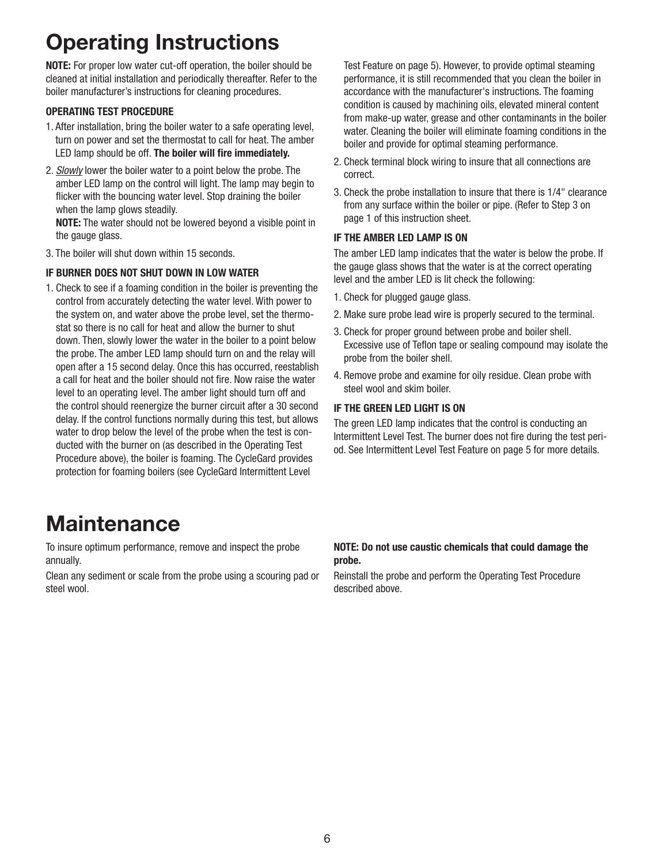## **Operating Instructions**

**NOTE:** For proper low water cut-off operation, the boiler should be cleaned at initial installation and periodically thereafter. Refer to the boiler manufacturer's instructions for cleaning procedures.

#### **OPERATING TEST PROCEDURE**

- 1. After installation, bring the boiler water to a safe operating level, turn on power and set the thermostat to call for heat. The amber LED lamp should be off. **The boiler will fire immediately.**
- 2. *Slowly* lower the boiler water to a point below the probe. The amber LED lamp on the control will light. The lamp may begin to flicker with the bouncing water level. Stop draining the boiler when the lamp glows steadily.

**NOTE:** The water should not be lowered beyond a visible point in the gauge glass.

3. The boiler will shut down within 15 seconds.

#### **IF BURNER DOES NOT SHUT DOWN IN LOW WATER**

1. Check to see if a foaming condition in the boiler is preventing the control from accurately detecting the water level. With power to the system on, and water above the probe level, set the thermostat so there is no call for heat and allow the burner to shut down. Then, slowly lower the water in the boiler to a point below the probe. The amber LED lamp should turn on and the relay will open after a 15 second delay. Once this has occurred, reestablish a call for heat and the boiler should not fire. Now raise the water level to an operating level. The amber light should turn off and the control should reenergize the burner circuit after a 30 second delay. If the control functions normally during this test, but allows water to drop below the level of the probe when the test is conducted with the burner on (as described in the Operating Test Procedure above), the boiler is foaming. The CycleGard provides protection for foaming boilers (see CycleGard Intermittent Level

Test Feature on page 5). However, to provide optimal steaming performance, it is still recommended that you clean the boiler in accordance with the manufacturer's instructions. The foaming condition is caused by machining oils, elevated mineral content from make-up water, grease and other contaminants in the boiler water. Cleaning the boiler will eliminate foaming conditions in the boiler and provide for optimal steaming performance.

- 2. Check terminal block wiring to insure that all connections are correct.
- 3. Check the probe installation to insure that there is 1/4" clearance from any surface within the boiler or pipe. (Refer to Step 3 on page 1 of this instruction sheet.

#### **IF THE AMBER LED LAMP IS ON**

The amber LED lamp indicates that the water is below the probe. If the gauge glass shows that the water is at the correct operating level and the amber LED is lit check the following:

- 1. Check for plugged gauge glass.
- 2. Make sure probe lead wire is properly secured to the terminal.
- 3. Check for proper ground between probe and boiler shell. Excessive use of Teflon tape or sealing compound may isolate the probe from the boiler shell.
- 4. Remove probe and examine for oily residue. Clean probe with steel wool and skim boiler.

#### **IF THE GREEN LED LIGHT IS ON**

The green LED lamp indicates that the control is conducting an Intermittent Level Test. The burner does not fire during the test period. See Intermittent Level Test Feature on page 5 for more details.

### **Maintenance**

To insure optimum performance, remove and inspect the probe annually.

Clean any sediment or scale from the probe using a scouring pad or steel wool.

#### **NOTE: Do not use caustic chemicals that could damage the probe.**

Reinstall the probe and perform the Operating Test Procedure described above.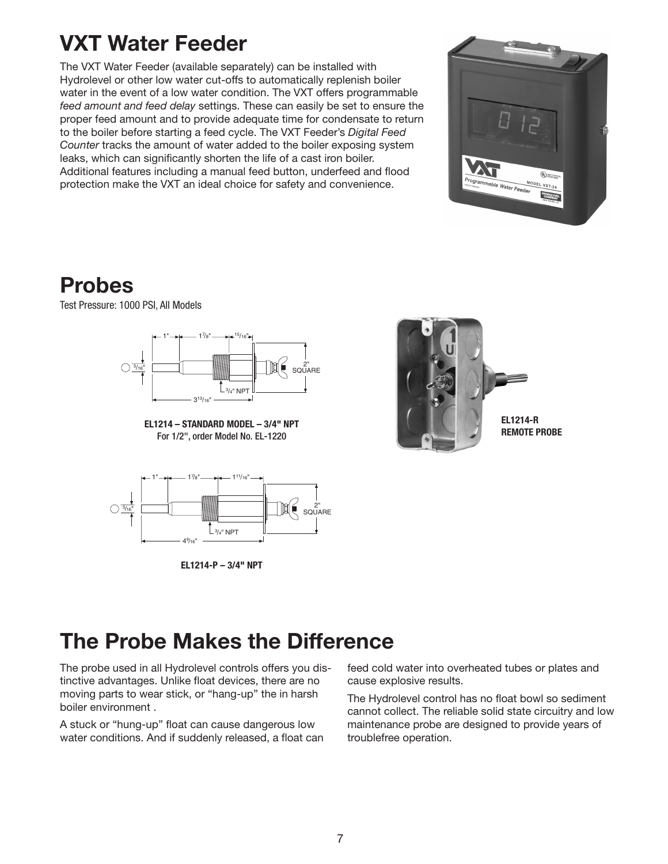### **VXT Water Feeder**

The VXT Water Feeder (available separately) can be installed with Hydrolevel or other low water cut-offs to automatically replenish boiler water in the event of a low water condition. The VXT offers programmable *feed amount and feed delay* settings. These can easily be set to ensure the proper feed amount and to provide adequate time for condensate to return to the boiler before starting a feed cycle. The VXT Feeder's *Digital Feed Counter* tracks the amount of water added to the boiler exposing system leaks, which can significantly shorten the life of a cast iron boiler. Additional features including a manual feed button, underfeed and flood protection make the VXT an ideal choice for safety and convenience.



### **Probes**

Test Pressure: 1000 PSI, All Models



**EL1214 – STANDARD MODEL – 3/4" NPT** For 1/2", order Model No. EL-1220



**EL1214-P – 3/4" NPT**



### **The Probe Makes the Difference**

The probe used in all Hydrolevel controls offers you distinctive advantages. Unlike float devices, there are no moving parts to wear stick, or "hang-up" the in harsh boiler environment .

A stuck or "hung-up" float can cause dangerous low water conditions. And if suddenly released, a float can feed cold water into overheated tubes or plates and cause explosive results.

The Hydrolevel control has no float bowl so sediment cannot collect. The reliable solid state circuitry and low maintenance probe are designed to provide years of troublefree operation.